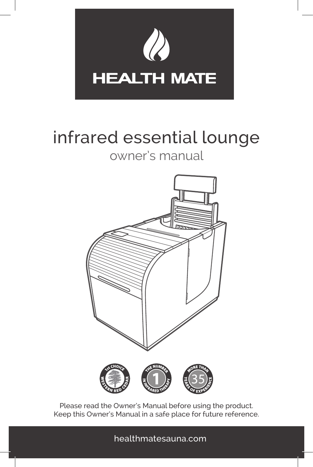

# infrared essential lounge

#### owner's manual



Please read the Owner's Manual before using the product. Keep this Owner's Manual in a safe place for future reference.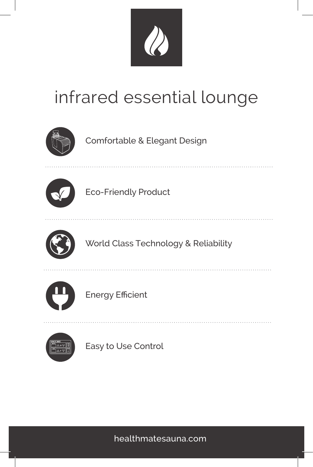

# infrared essential lounge



Comfortable & Elegant Design



Eco-Friendly Product



World Class Technology & Reliability



Energy Efficient



Easy to Use Control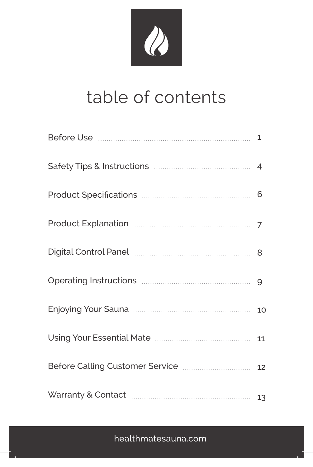# R

# table of contents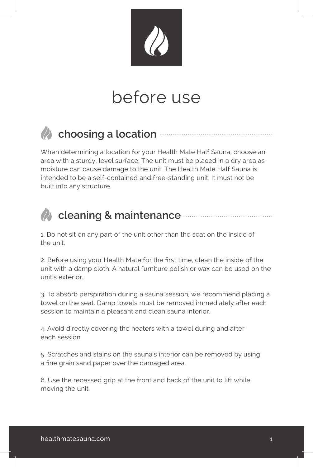

# before use



#### *C* choosing a location  $\theta$

When determining a location for your Health Mate Half Sauna, choose an area with a sturdy, level surface. The unit must be placed in a dry area as moisture can cause damage to the unit. The Health Mate Half Sauna is intended to be a self-contained and free-standing unit. It must not be built into any structure.

#### **cleaning & maintenance**

1. Do not sit on any part of the unit other than the seat on the inside of the unit.

2. Before using your Health Mate for the first time, clean the inside of the unit with a damp cloth. A natural furniture polish or wax can be used on the unit's exterior.

3. To absorb perspiration during a sauna session, we recommend placing a towel on the seat. Damp towels must be removed immediately after each session to maintain a pleasant and clean sauna interior.

4. Avoid directly covering the heaters with a towel during and after each session.

5. Scratches and stains on the sauna's interior can be removed by using a fine grain sand paper over the damaged area.

6. Use the recessed grip at the front and back of the unit to lift while moving the unit.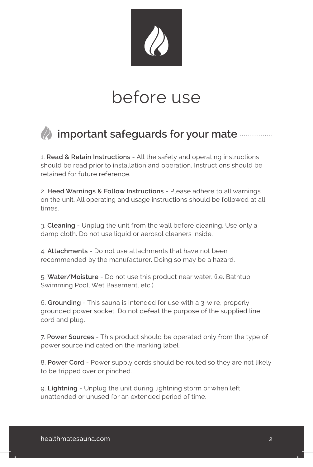

# before use

#### *A* important safeguards for your mate

1. **Read & Retain Instructions** - All the safety and operating instructions should be read prior to installation and operation. Instructions should be retained for future reference.

2. **Heed Warnings & Follow Instructions** - Please adhere to all warnings on the unit. All operating and usage instructions should be followed at all times.

3. **Cleaning** - Unplug the unit from the wall before cleaning. Use only a damp cloth. Do not use liquid or aerosol cleaners inside.

4. **Attachments** - Do not use attachments that have not been recommended by the manufacturer. Doing so may be a hazard.

5. **Water/Moisture** - Do not use this product near water. (i.e. Bathtub, Swimming Pool, Wet Basement, etc.)

6. **Grounding** - This sauna is intended for use with a 3-wire, properly grounded power socket. Do not defeat the purpose of the supplied line cord and plug.

7. **Power Sources** - This product should be operated only from the type of power source indicated on the marking label.

8. **Power Cord** - Power supply cords should be routed so they are not likely to be tripped over or pinched.

9. **Lightning** - Unplug the unit during lightning storm or when left unattended or unused for an extended period of time.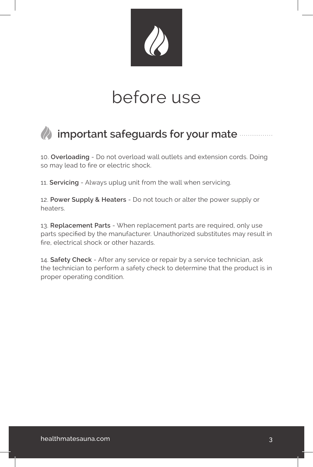

# before use

#### *A* important safeguards for your mate  $\sim$

10. **Overloading** - Do not overload wall outlets and extension cords. Doing so may lead to fire or electric shock.

11. **Servicing** - Always uplug unit from the wall when servicing.

12. **Power Supply & Heaters** - Do not touch or alter the power supply or heaters.

13. **Replacement Parts** - When replacement parts are required, only use parts specified by the manufacturer. Unauthorized substitutes may result in fire, electrical shock or other hazards.

14. **Safety Check** - After any service or repair by a service technician, ask the technician to perform a safety check to determine that the product is in proper operating condition.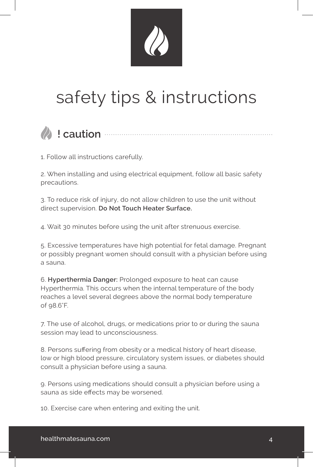# safety tips & instructions



#### **! caution**

1. Follow all instructions carefully.

2. When installing and using electrical equipment, follow all basic safety precautions.

3. To reduce risk of injury, do not allow children to use the unit without direct supervision. **Do Not Touch Heater Surface.**

4. Wait 30 minutes before using the unit after strenuous exercise.

5. Excessive temperatures have high potential for fetal damage. Pregnant or possibly pregnant women should consult with a physician before using a sauna.

6. **Hyperthermia Danger:** Prolonged exposure to heat can cause Hyperthermia. This occurs when the internal temperature of the body reaches a level several degrees above the normal body temperature of 98.6°F.

7. The use of alcohol, drugs, or medications prior to or during the sauna session may lead to unconsciousness.

8. Persons suffering from obesity or a medical history of heart disease, low or high blood pressure, circulatory system issues, or diabetes should consult a physician before using a sauna.

9. Persons using medications should consult a physician before using a sauna as side effects may be worsened.

10. Exercise care when entering and exiting the unit.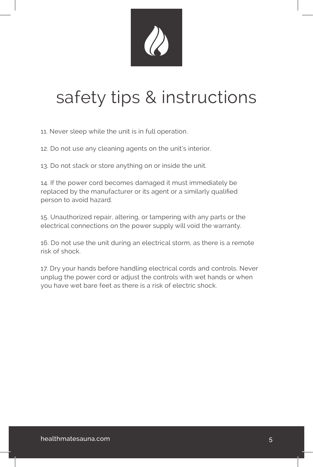

# safety tips & instructions

11. Never sleep while the unit is in full operation.

12. Do not use any cleaning agents on the unit's interior.

13. Do not stack or store anything on or inside the unit.

14. If the power cord becomes damaged it must immediately be replaced by the manufacturer or its agent or a similarly qualified person to avoid hazard.

15. Unauthorized repair, altering, or tampering with any parts or the electrical connections on the power supply will void the warranty.

16. Do not use the unit during an electrical storm, as there is a remote risk of shock.

17. Dry your hands before handling electrical cords and controls. Never unplug the power cord or adjust the controls with wet hands or when you have wet bare feet as there is a risk of electric shock.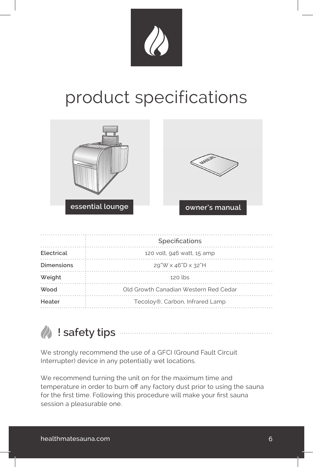

# product specifications





|                   | Specifications                        |  |
|-------------------|---------------------------------------|--|
| Electrical        | 120 volt, 946 watt, 15 amp            |  |
| <b>Dimensions</b> | $29"W \times 46"D \times 32"H$        |  |
| Weight            | $120$ lbs                             |  |
| <b>Wood</b>       | Old Growth Canadian Western Red Cedar |  |
| Heater            | Tecoloy®, Carbon, Infrared Lamp       |  |
|                   |                                       |  |

 **! safety tips**

We strongly recommend the use of a GFCI (Ground Fault Circuit Interrupter) device in any potentially wet locations.

We recommend turning the unit on for the maximum time and temperature in order to burn off any factory dust prior to using the sauna for the first time. Following this procedure will make your first sauna session a pleasurable one.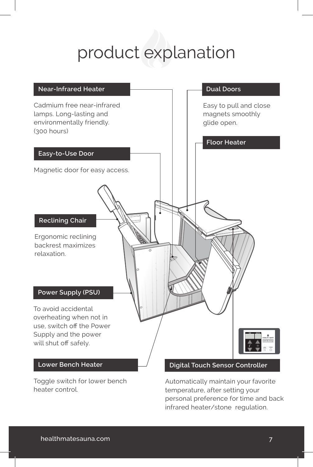# product explanation



Automatically maintain your favorite temperature, after setting your personal preference for time and back infrared heater/stone regulation.

heater control.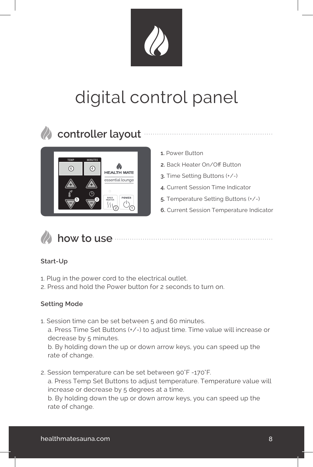# digital control panel



### **controller layout**



- **1.** Power Button
- **2.** Back Heater On/Off Button
- **3.** Time Setting Buttons (+/-)
- **4.** Current Session Time Indicator
- **5.** Temperature Setting Buttons (+/-)
- **6.** Current Session Temperature Indicator



#### **how to use**

#### **Start-Up**

- 1. Plug in the power cord to the electrical outlet.
- 2. Press and hold the Power button for 2 seconds to turn on.

#### **Setting Mode**

1. Session time can be set between 5 and 60 minutes. a. Press Time Set Buttons (+/-) to adjust time. Time value will increase or decrease by 5 minutes.

 b. By holding down the up or down arrow keys, you can speed up the rate of change.

2. Session temperature can be set between 90°F -170°F. a. Press Temp Set Buttons to adjust temperature. Temperature value will increase or decrease by 5 degrees at a time. b. By holding down the up or down arrow keys, you can speed up the rate of change.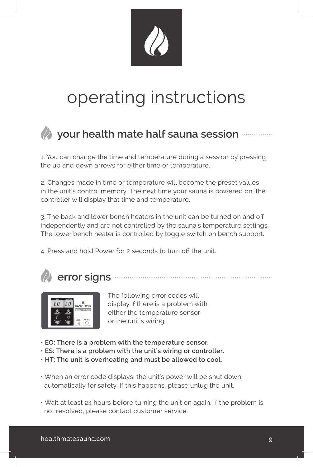

# operating instructions

### *(A)* your health mate half sauna session

1. You can change the time and temperature during a session by pressing the up and down arrows for either time or temperature.

2. Changes made in time or temperature will become the preset values in the unit's control memory. The next time your sauna is powered on, the controller will display that time and temperature.

3. The back and lower bench heaters in the unit can be turned on and off independently and are not controlled by the sauna's temperature settings. The lower bench heater is controlled by toggle switch on bench support.

4. Press and hold Power for 2 seconds to turn off the unit.





 The following error codes will display if there is a problem with either the temperature sensor or the unit's wiring:

- **EO: There is a problem with the temperature sensor.**
- **ES: There is a problem with the unit's wiring or controller.**
- **HT: The unit is overheating and must be allowed to cool.**
- When an error code displays, the unit's power will be shut down automatically for safety. If this happens, please unlug the unit.
- Wait at least 24 hours before turning the unit on again. If the problem is not resolved, please contact customer service.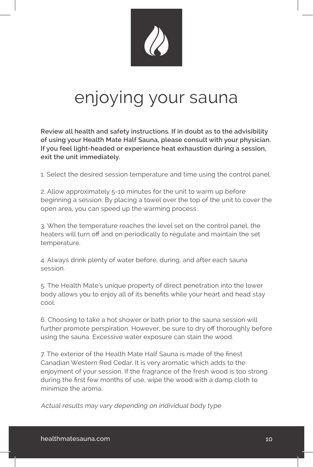

# enjoying your sauna

**Review all health and safety instructions. If in doubt as to the advisibility of using your Health Mate Half Sauna, please consult with your physician. If you feel light-headed or experience heat exhaustion during a session, exit the unit immediately.**

1. Select the desired session temperature and time using the control panel.

2. Allow approximately 5-10 minutes for the unit to warm up before beginning a session. By placing a towel over the top of the unit to cover the open area, you can speed up the warming process.

3. When the temperature reaches the level set on the control panel, the heaters will turn off and on periodically to regulate and maintain the set temperature.

4. Always drink plenty of water before, during, and after each sauna session.

5. The Health Mate's unique property of direct penetration into the lower body allows you to enjoy all of its benefits while your heart and head stay cool.

6. Choosing to take a hot shower or bath prior to the sauna session will further promote perspiration. However, be sure to dry off thoroughly before using the sauna. Excessive water exposure can stain the wood.

7. The exterior of the Health Mate Half Sauna is made of the finest Canadian Western Red Cedar. It is very aromatic which adds to the enjoyment of your session. If the fragrance of the fresh wood is too strong during the first few months of use, wipe the wood with a damp cloth to minimize the aroma.

Actual results may vary depending on individual body type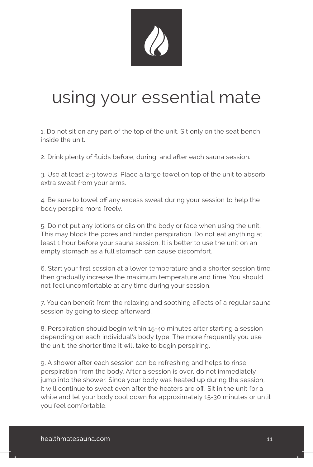

# using your essential mate

1. Do not sit on any part of the top of the unit. Sit only on the seat bench inside the unit.

2. Drink plenty of fluids before, during, and after each sauna session.

3. Use at least 2-3 towels. Place a large towel on top of the unit to absorb extra sweat from your arms.

4. Be sure to towel off any excess sweat during your session to help the body perspire more freely.

5. Do not put any lotions or oils on the body or face when using the unit. This may block the pores and hinder perspiration. Do not eat anything at least 1 hour before your sauna session. It is better to use the unit on an empty stomach as a full stomach can cause discomfort.

6. Start your first session at a lower temperature and a shorter session time, then gradually increase the maximum temperature and time. You should not feel uncomfortable at any time during your session.

7. You can benefit from the relaxing and soothing effects of a regular sauna session by going to sleep afterward.

8. Perspiration should begin within 15-40 minutes after starting a session depending on each individual's body type. The more frequently you use the unit, the shorter time it will take to begin perspiring.

9. A shower after each session can be refreshing and helps to rinse perspiration from the body. After a session is over, do not immediately jump into the shower. Since your body was heated up during the session, it will continue to sweat even after the heaters are off. Sit in the unit for a while and let your body cool down for approximately 15-30 minutes or until you feel comfortable.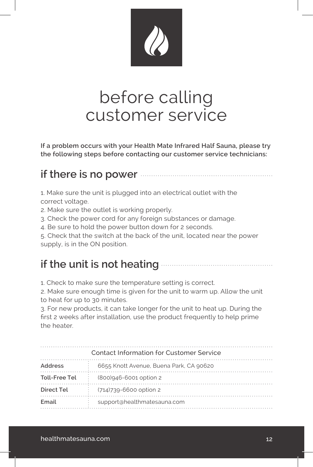

## before calling customer service

**If a problem occurs with your Health Mate Infrared Half Sauna, please try the following steps before contacting our customer service technicians:**

#### **if there is no power**

1. Make sure the unit is plugged into an electrical outlet with the correct voltage.

2. Make sure the outlet is working properly.

3. Check the power cord for any foreign substances or damage.

4. Be sure to hold the power button down for 2 seconds.

5. Check that the switch at the back of the unit, located near the power supply, is in the ON position.

#### **if the unit is not heating**

1. Check to make sure the temperature setting is correct.

2. Make sure enough time is given for the unit to warm up. Allow the unit to heat for up to 30 minutes.

3. For new products, it can take longer for the unit to heat up. During the first 2 weeks after installation, use the product frequently to help prime the heater.

| <b>Contact Information for Customer Service</b> |                                         |  |
|-------------------------------------------------|-----------------------------------------|--|
| <b>Address</b>                                  | 6655 Knott Avenue, Buena Park, CA 90620 |  |
| Toll-Free Tel                                   | (800)946-6001 option 2                  |  |
| Direct Tel                                      | $(714)739 - 6600$ option 2              |  |
| Email                                           | support@healthmatesauna.com             |  |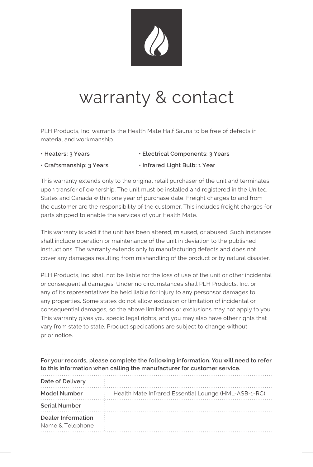

# warranty & contact

PLH Products, Inc. warrants the Health Mate Half Sauna to be free of defects in material and workmanship.

**• Heaters: 3 Years • Electrical Components: 3 Years**

**• Craftsmanship: 3 Years • Infrared Light Bulb: 1 Year**

- 
- 

This warranty extends only to the original retail purchaser of the unit and terminates upon transfer of ownership. The unit must be installed and registered in the United States and Canada within one year of purchase date. Freight charges to and from the customer are the responsibility of the customer. This includes freight charges for parts shipped to enable the services of your Health Mate.

This warranty is void if the unit has been altered, misused, or abused. Such instances shall include operation or maintenance of the unit in deviation to the published instructions. The warranty extends only to manufacturing defects and does not cover any damages resulting from mishandling of the product or by natural disaster.

PLH Products, Inc. shall not be liable for the loss of use of the unit or other incidental or consequential damages. Under no circumstances shall PLH Products, Inc. or any of its representatives be held liable for injury to any personsor damages to any properties. Some states do not allow exclusion or limitation of incidental or consequential damages, so the above limitations or exclusions may not apply to you. This warranty gives you specic legal rights, and you may also have other rights that vary from state to state. Product specications are subject to change without prior notice.

**For your records, please complete the following information. You will need to refer to this information when calling the manufacturer for customer service.** 

| Date of Delivery                       |                                                      |
|----------------------------------------|------------------------------------------------------|
| Model Number                           | Health Mate Infrared Essential Lounge (HML-ASB-1-RC) |
| <b>Serial Number</b>                   |                                                      |
| Dealer Information<br>Name & Telephone |                                                      |